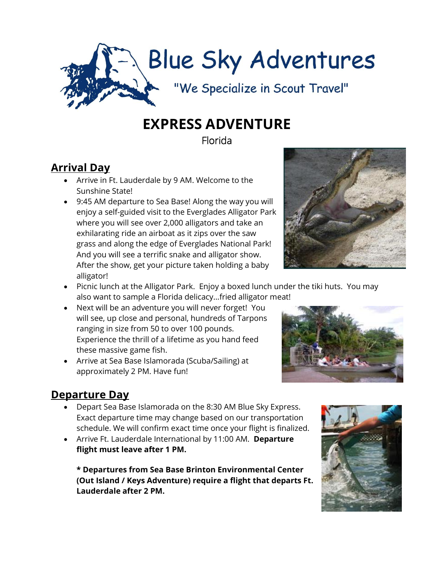

## **EXPRESS ADVENTURE**

Florida

## **Arrival Day**

- Arrive in Ft. Lauderdale by 9 AM. Welcome to the Sunshine State!
- 9:45 AM departure to Sea Base! Along the way you will enjoy a self-guided visit to the Everglades Alligator Park where you will see over 2,000 alligators and take an exhilarating ride an airboat as it zips over the saw grass and along the edge of Everglades National Park! And you will see a terrific snake and alligator show. After the show, get your picture taken holding a baby alligator!



- Picnic lunch at the Alligator Park. Enjoy a boxed lunch under the tiki huts. You may also want to sample a Florida delicacy…fried alligator meat!
- Next will be an adventure you will never forget! You will see, up close and personal, hundreds of Tarpons ranging in size from 50 to over 100 pounds. Experience the thrill of a lifetime as you hand feed these massive game fish.
- Arrive at Sea Base Islamorada (Scuba/Sailing) at approximately 2 PM. Have fun!



## **Departure Day**

- Depart Sea Base Islamorada on the 8:30 AM Blue Sky Express. Exact departure time may change based on our transportation schedule. We will confirm exact time once your flight is finalized.
- Arrive Ft. Lauderdale International by 11:00 AM. **Departure flight must leave after 1 PM.**

**\* Departures from Sea Base Brinton Environmental Center (Out Island / Keys Adventure) require a flight that departs Ft. Lauderdale after 2 PM.**